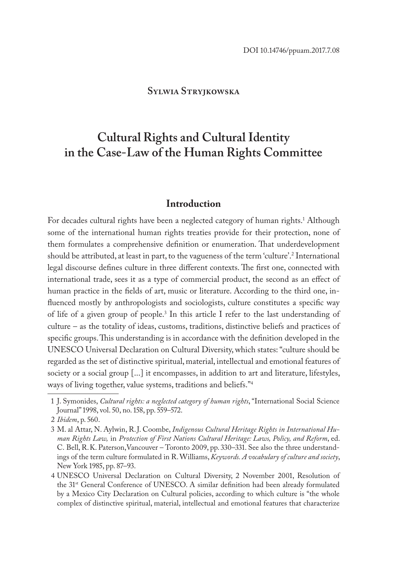### **Sylwia Stryjkowska**

# **Cultural Rights and Cultural Identity in the Case-Law of the Human Rights Committee**

### **Introduction**

For decades cultural rights have been a neglected category of human rights.<sup>1</sup> Although some of the international human rights treaties provide for their protection, none of them formulates a comprehensive definition or enumeration. That underdevelopment should be attributed, at least in part, to the vagueness of the term 'culture'.2 International legal discourse defines culture in three different contexts. The first one, connected with international trade, sees it as a type of commercial product, the second as an effect of human practice in the fields of art, music or literature. According to the third one, influenced mostly by anthropologists and sociologists, culture constitutes a specific way of life of a given group of people.<sup>3</sup> In this article I refer to the last understanding of culture – as the totality of ideas, customs, traditions, distinctive beliefs and practices of specific groups. This understanding is in accordance with the definition developed in the UNESCO Universal Declaration on Cultural Diversity, which states: "culture should be regarded as the set of distinctive spiritual, material, intellectual and emotional features of society or a social group [...] it encompasses, in addition to art and literature, lifestyles, ways of living together, value systems, traditions and beliefs."4

<sup>1</sup> J. Symonides, *Cultural rights: a neglected category of human rights*, "International Social Science Journal" 1998, vol. 50, no. 158, pp. 559–572.

<sup>2</sup> *Ibidem*, p. 560.

<sup>3</sup> M. al Attar, N. Aylwin, R.J. Coombe, *Indigenous Cultural Heritage Rights in International Human Rights Law,* in *Protection of First Nations Cultural Heritage: Laws, Policy, and Reform*, ed. C. Bell, R.K. Paterson,Vancouver – Toronto 2009, pp. 330–331. See also the three understandings of the term culture formulated in R. Williams, *Keywords. A vocabulary of culture and society*, New York 1985, pp. 87–93.

<sup>4</sup> UNESCO Universal Declaration on Cultural Diversity, 2 November 2001, Resolution of the 31st General Conference of UNESCO. A similar definition had been already formulated by a Mexico City Declaration on Cultural policies, according to which culture is "the whole complex of distinctive spiritual, material, intellectual and emotional features that characterize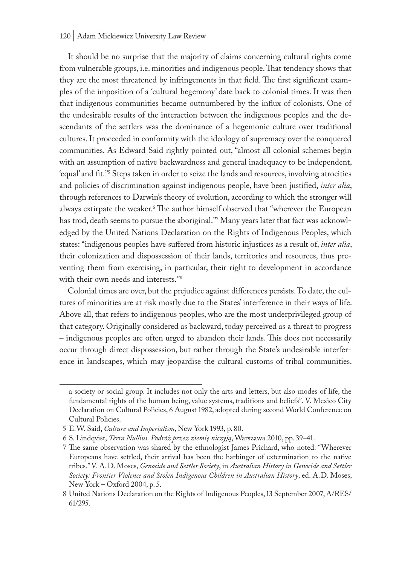#### 120 | Adam Mickiewicz University Law Review

It should be no surprise that the majority of claims concerning cultural rights come from vulnerable groups, i.e. minorities and indigenous people. That tendency shows that they are the most threatened by infringements in that field. The first significant examples of the imposition of a 'cultural hegemony' date back to colonial times. It was then that indigenous communities became outnumbered by the influx of colonists. One of the undesirable results of the interaction between the indigenous peoples and the descendants of the settlers was the dominance of a hegemonic culture over traditional cultures. It proceeded in conformity with the ideology of supremacy over the conquered communities. As Edward Said rightly pointed out, "almost all colonial schemes begin with an assumption of native backwardness and general inadequacy to be independent, 'equal' and fit."5 Steps taken in order to seize the lands and resources, involving atrocities and policies of discrimination against indigenous people, have been justified, *inter alia*, through references to Darwin's theory of evolution, according to which the stronger will always extirpate the weaker.<sup>6</sup> The author himself observed that "wherever the European has trod, death seems to pursue the aboriginal."7 Many years later that fact was acknowledged by the United Nations Declaration on the Rights of Indigenous Peoples, which states: "indigenous peoples have suffered from historic injustices as a result of, *inter alia*, their colonization and dispossession of their lands, territories and resources, thus preventing them from exercising, in particular, their right to development in accordance with their own needs and interests."8

Colonial times are over, but the prejudice against differences persists. To date, the cultures of minorities are at risk mostly due to the States' interference in their ways of life. Above all, that refers to indigenous peoples, who are the most underprivileged group of that category. Originally considered as backward, today perceived as a threat to progress – indigenous peoples are often urged to abandon their lands. This does not necessarily occur through direct dispossession, but rather through the State's undesirable interference in landscapes, which may jeopardise the cultural customs of tribal communities.

a society or social group. It includes not only the arts and letters, but also modes of life, the fundamental rights of the human being, value systems, traditions and beliefs". V. Mexico City Declaration on Cultural Policies, 6 August 1982, adopted during second World Conference on Cultural Policies.

<sup>5</sup> E.W. Said, *Culture and Imperialism*, New York 1993, p. 80.

<sup>6</sup> S. Lindqvist, *Terra Nullius. Podróż przez ziemię niczyją*, Warszawa 2010, pp. 39–41.

<sup>7</sup> The same observation was shared by the ethnologist James Prichard, who noted: "Wherever Europeans have settled, their arrival has been the harbinger of extermination to the native tribes." V. A.D. Moses, *Genocide and Settler Society*, in *Australian History in Genocide and Settler Society: Frontier Violence and Stolen Indigenous Children in Australian History*, ed. A.D. Moses, New York – Oxford 2004, p. 5.

<sup>8</sup> United Nations Declaration on the Rights of Indigenous Peoples, 13 September 2007, A/RES/ 61/295.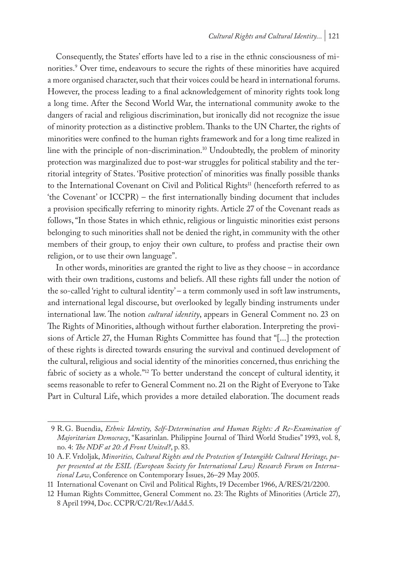Consequently, the States' efforts have led to a rise in the ethnic consciousness of minorities.<sup>9</sup> Over time, endeavours to secure the rights of these minorities have acquired a more organised character, such that their voices could be heard in international forums. However, the process leading to a final acknowledgement of minority rights took long a long time. After the Second World War, the international community awoke to the dangers of racial and religious discrimination, but ironically did not recognize the issue of minority protection as a distinctive problem. Thanks to the UN Charter, the rights of minorities were confined to the human rights framework and for a long time realized in line with the principle of non-discrimination.10 Undoubtedly, the problem of minority protection was marginalized due to post-war struggles for political stability and the territorial integrity of States. 'Positive protection' of minorities was finally possible thanks to the International Covenant on Civil and Political Rights<sup>11</sup> (henceforth referred to as 'the Covenant' or ICCPR) – the first internationally binding document that includes a provision specifically referring to minority rights. Article 27 of the Covenant reads as follows, "In those States in which ethnic, religious or linguistic minorities exist persons belonging to such minorities shall not be denied the right, in community with the other members of their group, to enjoy their own culture, to profess and practise their own religion, or to use their own language".

In other words, minorities are granted the right to live as they choose – in accordance with their own traditions, customs and beliefs. All these rights fall under the notion of the so-called 'right to cultural identity' – a term commonly used in soft law instruments, and international legal discourse, but overlooked by legally binding instruments under international law. The notion *cultural identity*, appears in General Comment no. 23 on The Rights of Minorities, although without further elaboration. Interpreting the provisions of Article 27, the Human Rights Committee has found that "[...] the protection of these rights is directed towards ensuring the survival and continued development of the cultural, religious and social identity of the minorities concerned, thus enriching the fabric of society as a whole."<sup>12</sup> To better understand the concept of cultural identity, it seems reasonable to refer to General Comment no. 21 on the Right of Everyone to Take Part in Cultural Life, which provides a more detailed elaboration. The document reads

<sup>9</sup> R.G. Buendia, *Ethnic Identity, Self-Determination and Human Rights: A Re-Examination of Majoritarian Democracy*, "Kasarinlan. Philippine Journal of Third World Studies" 1993, vol. 8, no. 4: *The NDF at 20: A Front United?*, p. 83.

<sup>10</sup> A.F. Vrdoljak, *Minorities, Cultural Rights and the Protection of Intangible Cultural Heritage, paper presented at the ESIL (European Society for International Law) Research Forum on International Law*, Conference on Contemporary Issues, 26–29 May 2005.

<sup>11</sup> International Covenant on Civil and Political Rights, 19 December 1966, A/RES/21/2200.

<sup>12</sup> Human Rights Committee, General Comment no. 23: The Rights of Minorities (Article 27), 8 April 1994, Doc. CCPR/C/21/Rev.1/Add.5.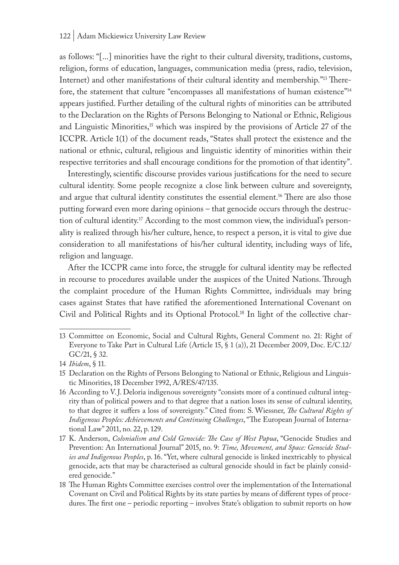as follows: "[...] minorities have the right to their cultural diversity, traditions, customs, religion, forms of education, languages, communication media (press, radio, television, Internet) and other manifestations of their cultural identity and membership."13 Therefore, the statement that culture "encompasses all manifestations of human existence"14 appears justified. Further detailing of the cultural rights of minorities can be attributed to the Declaration on the Rights of Persons Belonging to National or Ethnic, Religious and Linguistic Minorities,<sup>15</sup> which was inspired by the provisions of Article 27 of the ICCPR. Article 1(1) of the document reads, "States shall protect the existence and the national or ethnic, cultural, religious and linguistic identity of minorities within their respective territories and shall encourage conditions for the promotion of that identity".

Interestingly, scientific discourse provides various justifications for the need to secure cultural identity. Some people recognize a close link between culture and sovereignty, and argue that cultural identity constitutes the essential element.<sup>16</sup> There are also those putting forward even more daring opinions – that genocide occurs through the destruction of cultural identity.<sup>17</sup> According to the most common view, the individual's personality is realized through his/her culture, hence, to respect a person, it is vital to give due consideration to all manifestations of his/her cultural identity, including ways of life, religion and language.

After the ICCPR came into force, the struggle for cultural identity may be reflected in recourse to procedures available under the auspices of the United Nations. Through the complaint procedure of the Human Rights Committee, individuals may bring cases against States that have ratified the aforementioned International Covenant on Civil and Political Rights and its Optional Protocol.<sup>18</sup> In light of the collective char-

<sup>13</sup> Committee on Economic, Social and Cultural Rights, General Comment no. 21: Right of Everyone to Take Part in Cultural Life (Article 15, § 1 (a)), 21 December 2009, Doc. E/C.12/ GC/21, § 32.

<sup>14</sup> *Ibidem*, § 11.

<sup>15</sup> Declaration on the Rights of Persons Belonging to National or Ethnic, Religious and Linguistic Minorities, 18 December 1992, A/RES/47/135.

<sup>16</sup> According to V.J. Deloria indigenous sovereignty "consists more of a continued cultural integrity than of political powers and to that degree that a nation loses its sense of cultural identity, to that degree it suffers a loss of sovereignty." Cited from: S. Wiessner, *The Cultural Rights of Indigenous Peoples: Achievements and Continuing Challenges*, "The European Journal of International Law" 2011, no. 22, p. 129.

<sup>17</sup> K. Anderson, *Colonialism and Cold Genocide: The Case of West Papua*, "Genocide Studies and Prevention: An International Journal" 2015, no. 9: *Time, Movement, and Space: Genocide Studies and Indigenous Peoples*, p. 16. "Yet, where cultural genocide is linked inextricably to physical genocide, acts that may be characterised as cultural genocide should in fact be plainly considered genocide."

<sup>18</sup> The Human Rights Committee exercises control over the implementation of the International Covenant on Civil and Political Rights by its state parties by means of different types of procedures. The first one – periodic reporting – involves State's obligation to submit reports on how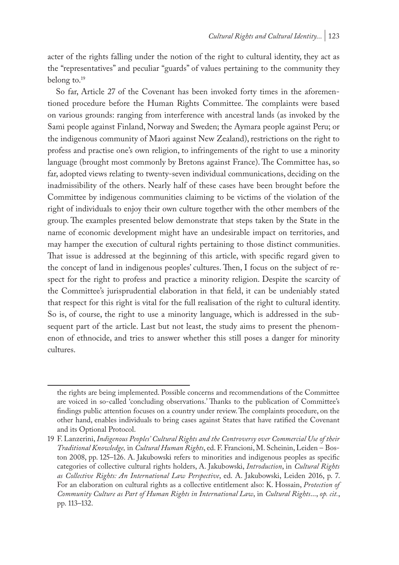acter of the rights falling under the notion of the right to cultural identity, they act as the "representatives" and peculiar "guards" of values pertaining to the community they belong to.19

So far, Article 27 of the Covenant has been invoked forty times in the aforementioned procedure before the Human Rights Committee. The complaints were based on various grounds: ranging from interference with ancestral lands (as invoked by the Sami people against Finland, Norway and Sweden; the Aymara people against Peru; or the indigenous community of Maori against New Zealand), restrictions on the right to profess and practise one's own religion, to infringements of the right to use a minority language (brought most commonly by Bretons against France). The Committee has, so far, adopted views relating to twenty-seven individual communications, deciding on the inadmissibility of the others. Nearly half of these cases have been brought before the Committee by indigenous communities claiming to be victims of the violation of the right of individuals to enjoy their own culture together with the other members of the group. The examples presented below demonstrate that steps taken by the State in the name of economic development might have an undesirable impact on territories, and may hamper the execution of cultural rights pertaining to those distinct communities. That issue is addressed at the beginning of this article, with specific regard given to the concept of land in indigenous peoples' cultures. Then, I focus on the subject of respect for the right to profess and practice a minority religion. Despite the scarcity of the Committee's jurisprudential elaboration in that field, it can be undeniably stated that respect for this right is vital for the full realisation of the right to cultural identity. So is, of course, the right to use a minority language, which is addressed in the subsequent part of the article. Last but not least, the study aims to present the phenomenon of ethnocide, and tries to answer whether this still poses a danger for minority cultures.

the rights are being implemented. Possible concerns and recommendations of the Committee are voiced in so-called 'concluding observations.' Thanks to the publication of Committee's findings public attention focuses on a country under review. The complaints procedure, on the other hand, enables individuals to bring cases against States that have ratified the Covenant and its Optional Protocol.

<sup>19</sup> F. Lanzerini, *Indigenous Peoples' Cultural Rights and the Controversy over Commercial Use of their Traditional Knowledge,* in *Cultural Human Rights*, ed. F. Francioni, M. Scheinin, Leiden – Boston 2008, pp. 125–126. A. Jakubowski refers to minorities and indigenous peoples as specific categories of collective cultural rights holders, A. Jakubowski, *Introduction*, in *Cultural Rights as Collective Rights: An International Law Perspective*, ed. A. Jakubowski, Leiden 2016, p. 7. For an elaboration on cultural rights as a collective entitlement also: K. Hossain, *Protection of Community Culture as Part of Human Rights in International Law*, in *Cultural Rights*..., *op. cit.*, pp. 113–132.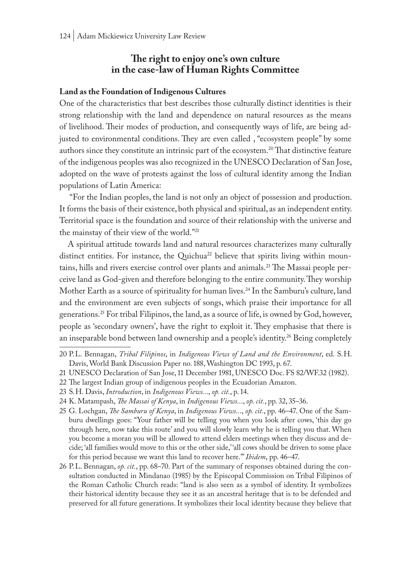### **The right to enjoy one's own culture in the case-law of Human Rights Committee**

#### **Land as the Foundation of Indigenous Cultures**

One of the characteristics that best describes those culturally distinct identities is their strong relationship with the land and dependence on natural resources as the means of livelihood. Their modes of production, and consequently ways of life, are being adjusted to environmental conditions. They are even called , "ecosystem people" by some authors since they constitute an intrinsic part of the ecosystem.20 That distinctive feature of the indigenous peoples was also recognized in the UNESCO Declaration of San Jose, adopted on the wave of protests against the loss of cultural identity among the Indian populations of Latin America:

 "For the Indian peoples, the land is not only an object of possession and production. It forms the basis of their existence, both physical and spiritual, as an independent entity. Territorial space is the foundation and source of their relationship with the universe and the mainstay of their view of the world."21

A spiritual attitude towards land and natural resources characterizes many culturally distinct entities. For instance, the Quichua<sup>22</sup> believe that spirits living within mountains, hills and rivers exercise control over plants and animals.<sup>23</sup> The Massai people perceive land as God-given and therefore belonging to the entire community. They worship Mother Earth as a source of spirituality for human lives.24 In the Samburu's culture, land and the environment are even subjects of songs, which praise their importance for all generations.25 For tribal Filipinos, the land, as a source of life, is owned by God, however, people as 'secondary owners', have the right to exploit it. They emphasise that there is an inseparable bond between land ownership and a people's identity.<sup>26</sup> Being completely

25 G. Lochgan, *The Samburu of Kenya*, in *Indigenous Views..*., *op. cit.*, pp. 46–47. One of the Samburu dwellings goes: "Your father will be telling you when you look after cows, 'this day go through here, now take this route' and you will slowly learn why he is telling you that. When you become a moran you will be allowed to attend elders meetings when they discuss and decide; 'all families would move to this or the other side,' 'all cows should be driven to some place for this period because we want this land to recover here.'" *Ibidem*, pp. 46–47.

26 P.L. Bennagan, *op. cit.*, pp. 68–70. Part of the summary of responses obtained during the consultation conducted in Mindanao (1985) by the Episcopal Commission on Tribal Filipinos of the Roman Catholic Church reads: "land is also seen as a symbol of identity. It symbolizes their historical identity because they see it as an ancestral heritage that is to be defended and preserved for all future generations. It symbolizes their local identity because they believe that

<sup>20</sup> P.L. Bennagan, *Tribal Filipinos*, in *Indigenous Views of Land and the Environment*, ed. S.H. Davis, World Bank Discussion Paper no. 188, Washington DC 1993, p. 67.

<sup>21</sup> UNESCO Declaration of San Jose, 11 December 1981, UNESCO Doc. FS 82/WF.32 (1982).

<sup>22</sup> The largest Indian group of indigenous peoples in the Ecuadorian Amazon.

<sup>23</sup> S.H. Davis, *Introduction*, in *Indigenous Views..*., *op. cit.*, p. 14.

<sup>24</sup> K. Matampash, *The Massai of Kenya*, in *Indigenous Views..*., *op. cit.*, pp. 32, 35–36.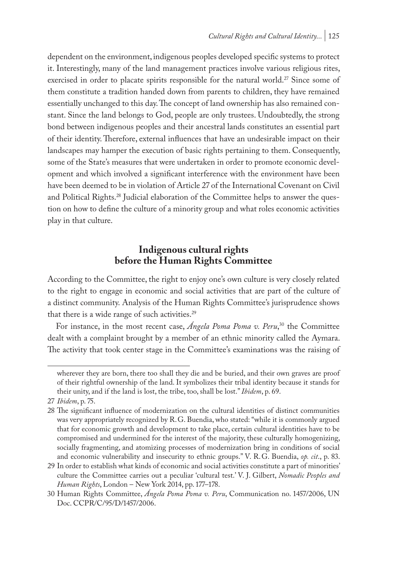dependent on the environment, indigenous peoples developed specific systems to protect it. Interestingly, many of the land management practices involve various religious rites, exercised in order to placate spirits responsible for the natural world.<sup>27</sup> Since some of them constitute a tradition handed down from parents to children, they have remained essentially unchanged to this day. The concept of land ownership has also remained constant. Since the land belongs to God, people are only trustees. Undoubtedly, the strong bond between indigenous peoples and their ancestral lands constitutes an essential part of their identity. Therefore, external influences that have an undesirable impact on their landscapes may hamper the execution of basic rights pertaining to them. Consequently, some of the State's measures that were undertaken in order to promote economic development and which involved a significant interference with the environment have been have been deemed to be in violation of Article 27 of the International Covenant on Civil and Political Rights.<sup>28</sup> Judicial elaboration of the Committee helps to answer the question on how to define the culture of a minority group and what roles economic activities play in that culture.

## **Indigenous cultural rights before the Human Rights Committee**

According to the Committee, the right to enjoy one's own culture is very closely related to the right to engage in economic and social activities that are part of the culture of a distinct community. Analysis of the Human Rights Committee's jurisprudence shows that there is a wide range of such activities.<sup>29</sup>

For instance, in the most recent case, *Ángela Poma Poma v. Peru*, 30 the Committee dealt with a complaint brought by a member of an ethnic minority called the Aymara. The activity that took center stage in the Committee's examinations was the raising of

wherever they are born, there too shall they die and be buried, and their own graves are proof of their rightful ownership of the land. It symbolizes their tribal identity because it stands for their unity, and if the land is lost, the tribe, too, shall be lost." *Ibidem*, p. 69.

<sup>27</sup> *Ibidem*, p. 75.

<sup>28</sup> The significant influence of modernization on the cultural identities of distinct communities was very appropriately recognized by R.G. Buendia, who stated: "while it is commonly argued that for economic growth and development to take place, certain cultural identities have to be compromised and undermined for the interest of the majority, these culturally homogenizing, socially fragmenting, and atomizing processes of modernization bring in conditions of social and economic vulnerability and insecurity to ethnic groups." V. R.G. Buendia, *op. cit*., p. 83.

<sup>29</sup> In order to establish what kinds of economic and social activities constitute a part of minorities' culture the Committee carries out a peculiar 'cultural test.' V. J. Gilbert, *Nomadic Peoples and Human Rights*, London – New York 2014, pp. 177–178.

<sup>30</sup> Human Rights Committee, *Ángela Poma Poma v. Peru*, Communication no. 1457/2006, UN Doc. CCPR/C/95/D/1457/2006.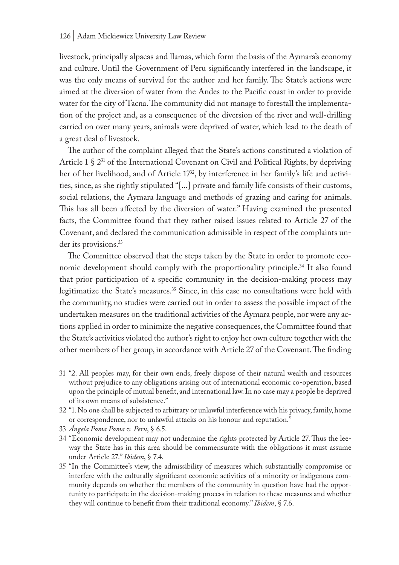livestock, principally alpacas and llamas, which form the basis of the Aymara's economy and culture. Until the Government of Peru significantly interfered in the landscape, it was the only means of survival for the author and her family. The State's actions were aimed at the diversion of water from the Andes to the Pacific coast in order to provide water for the city of Tacna. The community did not manage to forestall the implementation of the project and, as a consequence of the diversion of the river and well-drilling carried on over many years, animals were deprived of water, which lead to the death of a great deal of livestock.

The author of the complaint alleged that the State's actions constituted a violation of Article 1  $\S 2^{31}$  of the International Covenant on Civil and Political Rights, by depriving her of her livelihood, and of Article 17<sup>32</sup>, by interference in her family's life and activities, since, as she rightly stipulated "[...] private and family life consists of their customs, social relations, the Aymara language and methods of grazing and caring for animals. This has all been affected by the diversion of water." Having examined the presented facts, the Committee found that they rather raised issues related to Article 27 of the Covenant, and declared the communication admissible in respect of the complaints under its provisions.<sup>33</sup>

The Committee observed that the steps taken by the State in order to promote economic development should comply with the proportionality principle.34 It also found that prior participation of a specific community in the decision-making process may legitimatize the State's measures.<sup>35</sup> Since, in this case no consultations were held with the community, no studies were carried out in order to assess the possible impact of the undertaken measures on the traditional activities of the Aymara people, nor were any actions applied in order to minimize the negative consequences, the Committee found that the State's activities violated the author's right to enjoy her own culture together with the other members of her group, in accordance with Article 27 of the Covenant. The finding

<sup>31</sup> "2. All peoples may, for their own ends, freely dispose of their natural wealth and resources without prejudice to any obligations arising out of international economic co-operation, based upon the principle of mutual benefit, and international law. In no case may a people be deprived of its own means of subsistence."

<sup>32</sup> "1. No one shall be subjected to arbitrary or unlawful interference with his privacy, family, home or correspondence, nor to unlawful attacks on his honour and reputation."

<sup>33</sup> *Ángela Poma Poma v. Peru*, § 6.5.

<sup>34</sup> "Economic development may not undermine the rights protected by Article 27. Thus the leeway the State has in this area should be commensurate with the obligations it must assume under Article 27." *Ibidem*, § 7.4.

<sup>35</sup> "In the Committee's view, the admissibility of measures which substantially compromise or interfere with the culturally significant economic activities of a minority or indigenous community depends on whether the members of the community in question have had the opportunity to participate in the decision-making process in relation to these measures and whether they will continue to benefit from their traditional economy." *Ibidem*, § 7.6.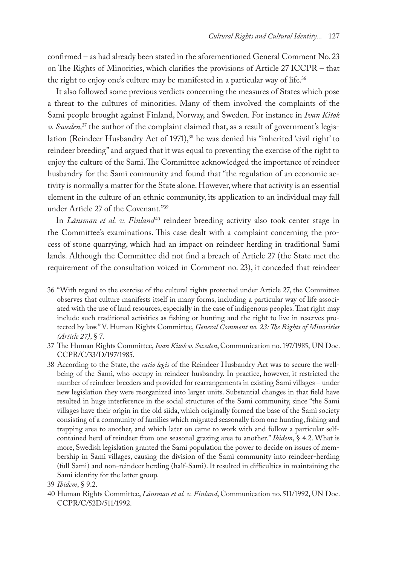confirmed – as had already been stated in the aforementioned General Comment No. 23 on The Rights of Minorities, which clarifies the provisions of Article 27 ICCPR – that the right to enjoy one's culture may be manifested in a particular way of life.<sup>36</sup>

It also followed some previous verdicts concerning the measures of States which pose a threat to the cultures of minorities. Many of them involved the complaints of the Sami people brought against Finland, Norway, and Sweden. For instance in *Ivan Kitok v. Sweden,*37 the author of the complaint claimed that, as a result of government's legislation (Reindeer Husbandry Act of 1971),<sup>38</sup> he was denied his "inherited 'civil right' to reindeer breeding" and argued that it was equal to preventing the exercise of the right to enjoy the culture of the Sami. The Committee acknowledged the importance of reindeer husbandry for the Sami community and found that "the regulation of an economic activity is normally a matter for the State alone. However, where that activity is an essential element in the culture of an ethnic community, its application to an individual may fall under Article 27 of the Covenant."39

In *Länsman et al. v. Finland<sup>40</sup>* reindeer breeding activity also took center stage in the Committee's examinations. This case dealt with a complaint concerning the process of stone quarrying, which had an impact on reindeer herding in traditional Sami lands. Although the Committee did not find a breach of Article 27 (the State met the requirement of the consultation voiced in Comment no. 23), it conceded that reindeer

<sup>36</sup> "With regard to the exercise of the cultural rights protected under Article 27, the Committee observes that culture manifests itself in many forms, including a particular way of life associated with the use of land resources, especially in the case of indigenous peoples. That right may include such traditional activities as fishing or hunting and the right to live in reserves protected by law." V. Human Rights Committee, *General Comment no. 23: The Rights of Minorities (Article 27)*, § 7.

<sup>37</sup> The Human Rights Committee, *Ivan Kitok v. Sweden*, Communication no. 197/1985, UN Doc. CCPR/C/33/D/197/1985.

<sup>38</sup> According to the State, the *ratio legis* of the Reindeer Husbandry Act was to secure the wellbeing of the Sami, who occupy in reindeer husbandry. In practice, however, it restricted the number of reindeer breeders and provided for rearrangements in existing Sami villages – under new legislation they were reorganized into larger units. Substantial changes in that field have resulted in huge interference in the social structures of the Sami community, since "the Sami villages have their origin in the old siida, which originally formed the base of the Sami society consisting of a community of families which migrated seasonally from one hunting, fishing and trapping area to another, and which later on came to work with and follow a particular selfcontained herd of reindeer from one seasonal grazing area to another." *Ibidem*, § 4.2. What is more, Swedish legislation granted the Sami population the power to decide on issues of membership in Sami villages, causing the division of the Sami community into reindeer-herding (full Sami) and non-reindeer herding (half-Sami). It resulted in difficulties in maintaining the Sami identity for the latter group.

<sup>39</sup> *Ibidem*, § 9.2.

<sup>40</sup> Human Rights Committee, *Länsman et al. v. Finland*, Communication no. 511/1992, UN Doc. CCPR/C/52D/511/1992.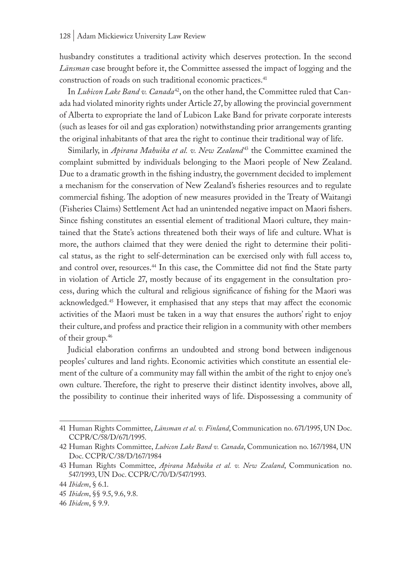husbandry constitutes a traditional activity which deserves protection. In the second *Länsman* case brought before it, the Committee assessed the impact of logging and the construction of roads on such traditional economic practices.<sup>41</sup>

In *Lubicon Lake Band v. Canada*42, on the other hand, the Committee ruled that Canada had violated minority rights under Article 27, by allowing the provincial government of Alberta to expropriate the land of Lubicon Lake Band for private corporate interests (such as leases for oil and gas exploration) notwithstanding prior arrangements granting the original inhabitants of that area the right to continue their traditional way of life.

Similarly, in *Apirana Mahuika et al. v. New Zealand<sup>43</sup>* the Committee examined the complaint submitted by individuals belonging to the Maori people of New Zealand. Due to a dramatic growth in the fishing industry, the government decided to implement a mechanism for the conservation of New Zealand's fisheries resources and to regulate commercial fishing. The adoption of new measures provided in the Treaty of Waitangi (Fisheries Claims) Settlement Act had an unintended negative impact on Maori fishers. Since fishing constitutes an essential element of traditional Maori culture, they maintained that the State's actions threatened both their ways of life and culture. What is more, the authors claimed that they were denied the right to determine their political status, as the right to self-determination can be exercised only with full access to, and control over, resources.44 In this case, the Committee did not find the State party in violation of Article 27, mostly because of its engagement in the consultation process, during which the cultural and religious significance of fishing for the Maori was acknowledged.45 However, it emphasised that any steps that may affect the economic activities of the Maori must be taken in a way that ensures the authors' right to enjoy their culture, and profess and practice their religion in a community with other members of their group.46

Judicial elaboration confirms an undoubted and strong bond between indigenous peoples' cultures and land rights. Economic activities which constitute an essential element of the culture of a community may fall within the ambit of the right to enjoy one's own culture. Therefore, the right to preserve their distinct identity involves, above all, the possibility to continue their inherited ways of life. Dispossessing a community of

<sup>41</sup> Human Rights Committee, *Länsman et al. v. Finland*, Communication no. 671/1995, UN Doc. CCPR/C/58/D/671/1995.

<sup>42</sup> Human Rights Committee, *Lubicon Lake Band v. Canada*, Communication no. 167/1984, UN Doc. CCPR/C/38/D/167/1984

<sup>43</sup> Human Rights Committee, *Apirana Mahuika et al. v. New Zealand*, Communication no. 547/1993, UN Doc. CCPR/C/70/D/547/1993.

<sup>44</sup> *Ibidem*, § 6.1.

<sup>45</sup> *Ibidem*, §§ 9.5, 9.6, 9.8.

<sup>46</sup> *Ibidem*, § 9.9.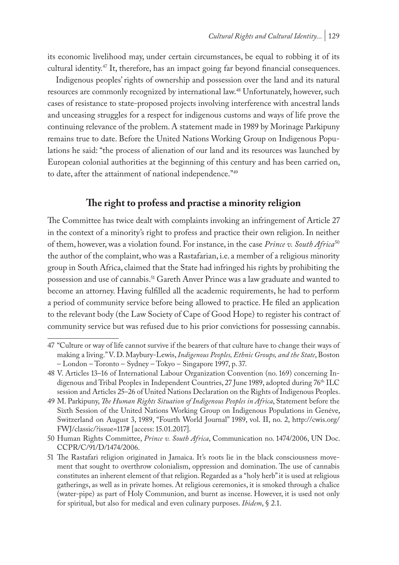its economic livelihood may, under certain circumstances, be equal to robbing it of its cultural identity.47 It, therefore, has an impact going far beyond financial consequences.

Indigenous peoples' rights of ownership and possession over the land and its natural resources are commonly recognized by international law.48 Unfortunately, however, such cases of resistance to state-proposed projects involving interference with ancestral lands and unceasing struggles for a respect for indigenous customs and ways of life prove the continuing relevance of the problem. A statement made in 1989 by Morinage Parkipuny remains true to date. Before the United Nations Working Group on Indigenous Populations he said: "the process of alienation of our land and its resources was launched by European colonial authorities at the beginning of this century and has been carried on, to date, after the attainment of national independence."49

# **The right to profess and practise a minority religion**

The Committee has twice dealt with complaints invoking an infringement of Article 27 in the context of a minority's right to profess and practice their own religion. In neither of them, however, was a violation found. For instance, in the case *Prince v. South Africa*<sup>50</sup> the author of the complaint, who was a Rastafarian, i.e. a member of a religious minority group in South Africa, claimed that the State had infringed his rights by prohibiting the possession and use of cannabis.<sup>51</sup> Gareth Anver Prince was a law graduate and wanted to become an attorney. Having fulfilled all the academic requirements, he had to perform a period of community service before being allowed to practice. He filed an application to the relevant body (the Law Society of Cape of Good Hope) to register his contract of community service but was refused due to his prior convictions for possessing cannabis.

50 Human Rights Committee, *Prince v. South Africa*, Communication no. 1474/2006, UN Doc. CCPR/C/91/D/1474/2006.

<sup>47</sup> "Culture or way of life cannot survive if the bearers of that culture have to change their ways of making a living." V. D. Maybury-Lewis, *Indigenous Peoples, Ethnic Groups, and the State*, Boston – London – Toronto – Sydney – Tokyo – Singapore 1997, p. 37.

<sup>48</sup> V. Articles 13–16 of International Labour Organization Convention (no. 169) concerning Indigenous and Tribal Peoples in Independent Countries, 27 June 1989, adopted during 76<sup>th</sup> ILC session and Articles 25–26 of United Nations Declaration on the Rights of Indigenous Peoples.

<sup>49</sup> M. Parkipuny, *The Human Rights Situation of Indigenous Peoples in Africa*, Statement before the Sixth Session of the United Nations Working Group on Indigenous Populations in Genéve, Switzerland on August 3, 1989, "Fourth World Journal" 1989, vol. II, no. 2, http://cwis.org/ FWJ/classic/?issue=117# [access: 15.01.2017].

<sup>51</sup> The Rastafari religion originated in Jamaica. It's roots lie in the black consciousness movement that sought to overthrow colonialism, oppression and domination. The use of cannabis constitutes an inherent element of that religion. Regarded as a "holy herb" it is used at religious gatherings, as well as in private homes. At religious ceremonies, it is smoked through a chalice (water-pipe) as part of Holy Communion, and burnt as incense. However, it is used not only for spiritual, but also for medical and even culinary purposes. *Ibidem*, § 2.1.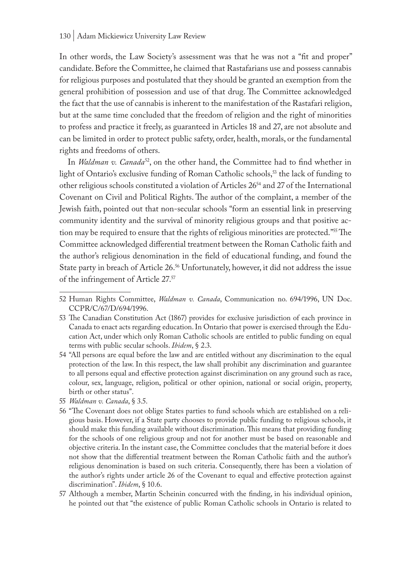In other words, the Law Society's assessment was that he was not a "fit and proper" candidate. Before the Committee, he claimed that Rastafarians use and possess cannabis for religious purposes and postulated that they should be granted an exemption from the general prohibition of possession and use of that drug. The Committee acknowledged the fact that the use of cannabis is inherent to the manifestation of the Rastafari religion, but at the same time concluded that the freedom of religion and the right of minorities to profess and practice it freely, as guaranteed in Articles 18 and 27, are not absolute and can be limited in order to protect public safety, order, health, morals, or the fundamental rights and freedoms of others.

In *Waldman v. Canada*52, on the other hand, the Committee had to find whether in light of Ontario's exclusive funding of Roman Catholic schools,<sup>53</sup> the lack of funding to other religious schools constituted a violation of Articles 2654 and 27 of the International Covenant on Civil and Political Rights. The author of the complaint, a member of the Jewish faith, pointed out that non-secular schools "form an essential link in preserving community identity and the survival of minority religious groups and that positive action may be required to ensure that the rights of religious minorities are protected."55 The Committee acknowledged differential treatment between the Roman Catholic faith and the author's religious denomination in the field of educational funding, and found the State party in breach of Article 26.<sup>56</sup> Unfortunately, however, it did not address the issue of the infringement of Article 27.57

- 55 *Waldman v. Canada*, § 3.5.
- 56 "The Covenant does not oblige States parties to fund schools which are established on a religious basis. However, if a State party chooses to provide public funding to religious schools, it should make this funding available without discrimination. This means that providing funding for the schools of one religious group and not for another must be based on reasonable and objective criteria. In the instant case, the Committee concludes that the material before it does not show that the differential treatment between the Roman Catholic faith and the author's religious denomination is based on such criteria. Consequently, there has been a violation of the author's rights under article 26 of the Covenant to equal and effective protection against discrimination". *Ibidem*, § 10.6.
- 57 Although a member, Martin Scheinin concurred with the finding, in his individual opinion, he pointed out that "the existence of public Roman Catholic schools in Ontario is related to

<sup>52</sup> Human Rights Committee, *Waldman v. Canada*, Communication no. 694/1996, UN Doc. CCPR/C/67/D/694/1996.

<sup>53</sup> The Canadian Constitution Act (1867) provides for exclusive jurisdiction of each province in Canada to enact acts regarding education. In Ontario that power is exercised through the Education Act, under which only Roman Catholic schools are entitled to public funding on equal terms with public secular schools. *Ibidem*, § 2.3.

<sup>54</sup> "All persons are equal before the law and are entitled without any discrimination to the equal protection of the law. In this respect, the law shall prohibit any discrimination and guarantee to all persons equal and effective protection against discrimination on any ground such as race, colour, sex, language, religion, political or other opinion, national or social origin, property, birth or other status".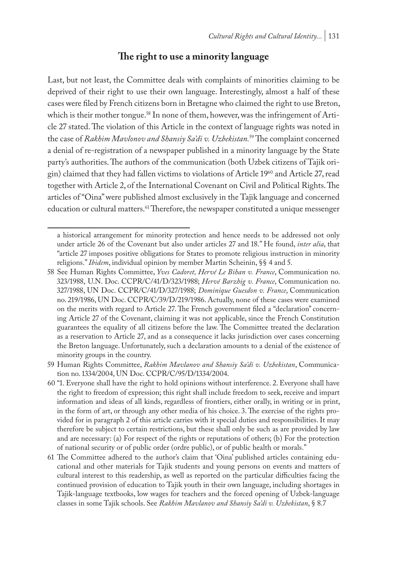### **The right to use a minority language**

Last, but not least, the Committee deals with complaints of minorities claiming to be deprived of their right to use their own language. Interestingly, almost a half of these cases were filed by French citizens born in Bretagne who claimed the right to use Breton, which is their mother tongue.<sup>58</sup> In none of them, however, was the infringement of Article 27 stated. The violation of this Article in the context of language rights was noted in the case of *Rakhim Mavlonov and Shansiy Sa'di v. Uzbekistan.*59 The complaint concerned a denial of re-registration of a newspaper published in a minority language by the State party's authorities. The authors of the communication (both Uzbek citizens of Tajik origin) claimed that they had fallen victims to violations of Article 1960 and Article 27, read together with Article 2, of the International Covenant on Civil and Political Rights. The articles of "Oina" were published almost exclusively in the Tajik language and concerned education or cultural matters.<sup>61</sup> Therefore, the newspaper constituted a unique messenger

a historical arrangement for minority protection and hence needs to be addressed not only under article 26 of the Covenant but also under articles 27 and 18." He found, *inter alia*, that "article 27 imposes positive obligations for States to promote religious instruction in minority religions." *Ibidem*, individual opinion by member Martin Scheinin, §§ 4 and 5.

<sup>58</sup> See Human Rights Committee, *Yves Cadoret, Hervé Le Bihan v. France*, Communication no. 323/1988, U.N. Doc. CCPR/C/41/D/323/1988; *Hervé Barzhig v. France*, Communication no. 327/1988, UN Doc. CCPR/C/41/D/327/1988; *Dominique Guesdon v. France*, Communication no. 219/1986, UN Doc. CCPR/C/39/D/219/1986. Actually, none of these cases were examined on the merits with regard to Article 27. The French government filed a "declaration" concerning Article 27 of the Covenant, claiming it was not applicable, since the French Constitution guarantees the equality of all citizens before the law. The Committee treated the declaration as a reservation to Article 27, and as a consequence it lacks jurisdiction over cases concerning the Breton language. Unfortunately, such a declaration amounts to a denial of the existence of minority groups in the country.

<sup>59</sup> Human Rights Committee, *Rakhim Mavlanov and Shansiy Sa'di v. Uzbekistan*, Communication no. 1334/2004, UN Doc. CCPR/C/95/D/1334/2004.

<sup>60</sup> "1. Everyone shall have the right to hold opinions without interference. 2. Everyone shall have the right to freedom of expression; this right shall include freedom to seek, receive and impart information and ideas of all kinds, regardless of frontiers, either orally, in writing or in print, in the form of art, or through any other media of his choice. 3. The exercise of the rights provided for in paragraph 2 of this article carries with it special duties and responsibilities. It may therefore be subject to certain restrictions, but these shall only be such as are provided by law and are necessary: (a) For respect of the rights or reputations of others; (b) For the protection of national security or of public order (ordre public), or of public health or morals."

<sup>61</sup> The Committee adhered to the author's claim that 'Oina' published articles containing educational and other materials for Tajik students and young persons on events and matters of cultural interest to this readership, as well as reported on the particular difficulties facing the continued provision of education to Tajik youth in their own language, including shortages in Tajik-language textbooks, low wages for teachers and the forced opening of Uzbek-language classes in some Tajik schools. See *Rakhim Mavlanov and Shansiy Sa'di v. Uzbekistan*, § 8.7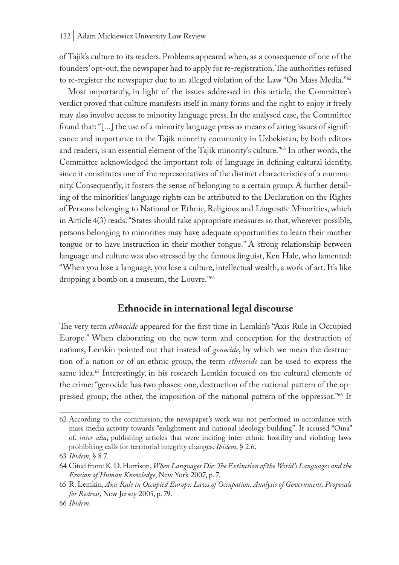of Tajik's culture to its readers. Problems appeared when, as a consequence of one of the founders' opt-out, the newspaper had to apply for re-registration. The authorities refused to re-register the newspaper due to an alleged violation of the Law "On Mass Media."<sup>62</sup>

Most importantly, in light of the issues addressed in this article, the Committee's verdict proved that culture manifests itself in many forms and the right to enjoy it freely may also involve access to minority language press. In the analysed case, the Committee found that: "[...] the use of a minority language press as means of airing issues of significance and importance to the Tajik minority community in Uzbekistan, by both editors and readers, is an essential element of the Tajik minority's culture."63 In other words, the Committee acknowledged the important role of language in defining cultural identity, since it constitutes one of the representatives of the distinct characteristics of a community. Consequently, it fosters the sense of belonging to a certain group. A further detailing of the minorities' language rights can be attributed to the Declaration on the Rights of Persons belonging to National or Ethnic, Religious and Linguistic Minorities, which in Article 4(3) reads: "States should take appropriate measures so that, wherever possible, persons belonging to minorities may have adequate opportunities to learn their mother tongue or to have instruction in their mother tongue." A strong relationship between language and culture was also stressed by the famous linguist, Ken Hale, who lamented: "When you lose a language, you lose a culture, intellectual wealth, a work of art. It's like dropping a bomb on a museum, the Louvre."64

### **Ethnocide in international legal discourse**

The very term *ethnocide* appeared for the first time in Lemkin's "Axis Rule in Occupied Europe." When elaborating on the new term and conception for the destruction of nations, Lemkin pointed out that instead of *genocide*, by which we mean the destruction of a nation or of an ethnic group, the term *ethnocide* can be used to express the same idea.<sup>65</sup> Interestingly, in his research Lemkin focused on the cultural elements of the crime: "genocide has two phases: one, destruction of the national pattern of the oppressed group; the other, the imposition of the national pattern of the oppressor."<sup>66</sup> It

<sup>62</sup> According to the commission, the newspaper's work was not performed in accordance with mass media activity towards "enlightment and national ideology building". It accused "Oina" of, *inter alia*, publishing articles that were inciting inter-ethnic hostility and violating laws prohibiting calls for territorial integrity changes. *Ibidem*, § 2.6.

<sup>63</sup> *Ibidem*, § 8.7.

<sup>64</sup> Cited from: K.D. Harrison, *When Languages Die: The Extinction of the World's Languages and the Erosion of Human Knowledge*, New York 2007, p. 7.

<sup>65</sup> R. Lemkin, *Axis Rule in Occupied Europe: Laws of Occupation, Analysis of Government, Proposals for Redress*, New Jersey 2005, p. 79.

<sup>66</sup> *Ibidem*.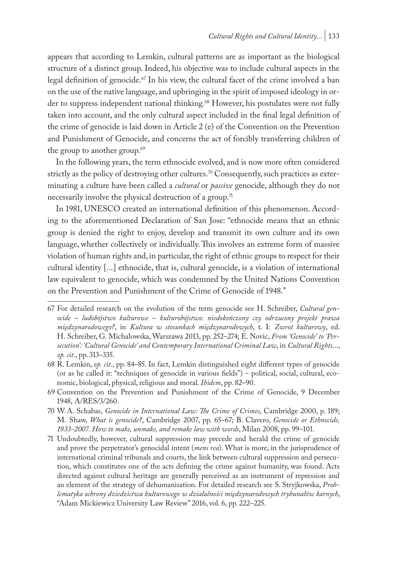appears that according to Lemkin, cultural patterns are as important as the biological structure of a distinct group. Indeed, his objective was to include cultural aspects in the legal definition of genocide.<sup>67</sup> In his view, the cultural facet of the crime involved a ban on the use of the native language, and upbringing in the spirit of imposed ideology in order to suppress independent national thinking.<sup>68</sup> However, his postulates were not fully taken into account, and the only cultural aspect included in the final legal definition of the crime of genocide is laid down in Article 2 (e) of the Convention on the Prevention and Punishment of Genocide, and concerns the act of forcibly transferring children of the group to another group.<sup>69</sup>

In the following years, the term ethnocide evolved, and is now more often considered strictly as the policy of destroying other cultures.<sup>70</sup> Consequently, such practices as exterminating a culture have been called a *cultural* or *passive* genocide, although they do not necessarily involve the physical destruction of a group.<sup>71</sup>

In 1981, UNESCO created an international definition of this phenomenon. According to the aforementioned Declaration of San Jose: "ethnocide means that an ethnic group is denied the right to enjoy, develop and transmit its own culture and its own language, whether collectively or individually. This involves an extreme form of massive violation of human rights and, in particular, the right of ethnic groups to respect for their cultural identity [...] ethnocide, that is, cultural genocide, is a violation of international law equivalent to genocide, which was condemned by the United Nations Convention on the Prevention and Punishment of the Crime of Genocide of 1948."

<sup>67</sup> For detailed research on the evolution of the term genocide see H. Schreiber, *Cultural genocide – ludobójstwo kulturowe – kulturobójstwo: niedokończony czy odrzucony projekt prawa międzynarodowego?*, in *Kultura w stosunkach międzynarodowych*, t. I: *Zwrot kulturowy*, ed. H. Schreiber, G. Michałowska, Warszawa 2013, pp. 252–274; E. Novic, *From 'Genocide' to 'Persecution': 'Cultural Genocide' and Contemporary International Criminal Law*, in *Cultural Rights*..., *op. cit.*, pp. 313–335.

<sup>68</sup> R. Lemkin, *op. cit*., pp. 84–85. In fact, Lemkin distinguished eight different types of genocide (or as he called it: "techniques of genocide in various fields") – political, social, cultural, economic, biological, physical, religious and moral. *Ibidem*, pp. 82–90.

<sup>69</sup> Convention on the Prevention and Punishment of the Crime of Genocide, 9 December 1948, A/RES/3/260.

<sup>70</sup> W.A. Schabas, *Genocide in International Law: The Crime of Crimes*, Cambridge 2000, p. 189; M. Shaw, *What is genocide?*, Cambridge 2007, pp. 65–67; B. Clavero, *Genocide or Ethnocide, 1933-2007. How to make, unmake, and remake law with words*, Milan 2008, pp. 99–101.

<sup>71</sup> Undoubtedly, however, cultural suppression may precede and herald the crime of genocide and prove the perpetrator's genocidal intent (*mens rea*). What is more, in the jurisprudence of international criminal tribunals and courts, the link between cultural suppression and persecution, which constitutes one of the acts defining the crime against humanity, was found. Acts directed against cultural heritage are generally perceived as an instrument of repression and an element of the strategy of dehumanisation. For detailed research see S. Stryjkowska, *Problematyka ochrony dziedzictwa kulturowego w działalności międzynarodowych trybunałów karnych*, "Adam Mickiewicz University Law Review" 2016, vol. 6, pp. 222–225.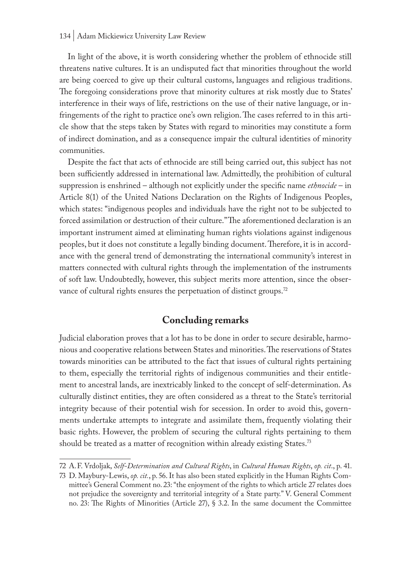In light of the above, it is worth considering whether the problem of ethnocide still threatens native cultures. It is an undisputed fact that minorities throughout the world are being coerced to give up their cultural customs, languages and religious traditions. The foregoing considerations prove that minority cultures at risk mostly due to States' interference in their ways of life, restrictions on the use of their native language, or infringements of the right to practice one's own religion. The cases referred to in this article show that the steps taken by States with regard to minorities may constitute a form of indirect domination, and as a consequence impair the cultural identities of minority communities.

Despite the fact that acts of ethnocide are still being carried out, this subject has not been sufficiently addressed in international law. Admittedly, the prohibition of cultural suppression is enshrined – although not explicitly under the specific name *ethnocide* – in Article 8(1) of the United Nations Declaration on the Rights of Indigenous Peoples, which states: "indigenous peoples and individuals have the right not to be subjected to forced assimilation or destruction of their culture." The aforementioned declaration is an important instrument aimed at eliminating human rights violations against indigenous peoples, but it does not constitute a legally binding document. Therefore, it is in accordance with the general trend of demonstrating the international community's interest in matters connected with cultural rights through the implementation of the instruments of soft law. Undoubtedly, however, this subject merits more attention, since the observance of cultural rights ensures the perpetuation of distinct groups.<sup>72</sup>

# **Concluding remarks**

Judicial elaboration proves that a lot has to be done in order to secure desirable, harmonious and cooperative relations between States and minorities. The reservations of States towards minorities can be attributed to the fact that issues of cultural rights pertaining to them, especially the territorial rights of indigenous communities and their entitlement to ancestral lands, are inextricably linked to the concept of self-determination. As culturally distinct entities, they are often considered as a threat to the State's territorial integrity because of their potential wish for secession. In order to avoid this, governments undertake attempts to integrate and assimilate them, frequently violating their basic rights. However, the problem of securing the cultural rights pertaining to them should be treated as a matter of recognition within already existing States.<sup>73</sup>

<sup>72</sup> A.F. Vrdoljak, *Self-Determination and Cultural Rights*, in *Cultural Human Rights*, *op. cit*., p. 41.

<sup>73</sup> D. Maybury-Lewis, *op. cit.*, p. 56. It has also been stated explicitly in the Human Rights Committee's General Comment no. 23: "the enjoyment of the rights to which article 27 relates does not prejudice the sovereignty and territorial integrity of a State party." V. General Comment no. 23: The Rights of Minorities (Article 27), § 3.2. In the same document the Committee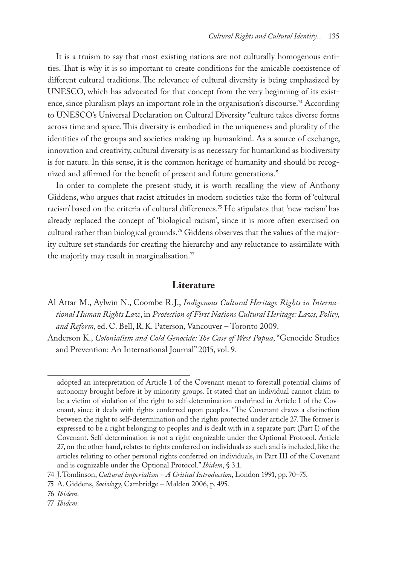It is a truism to say that most existing nations are not culturally homogenous entities. That is why it is so important to create conditions for the amicable coexistence of different cultural traditions. The relevance of cultural diversity is being emphasized by UNESCO, which has advocated for that concept from the very beginning of its existence, since pluralism plays an important role in the organisation's discourse.74 According to UNESCO's Universal Declaration on Cultural Diversity "culture takes diverse forms across time and space. This diversity is embodied in the uniqueness and plurality of the identities of the groups and societies making up humankind. As a source of exchange, innovation and creativity, cultural diversity is as necessary for humankind as biodiversity is for nature. In this sense, it is the common heritage of humanity and should be recognized and affirmed for the benefit of present and future generations."

In order to complete the present study, it is worth recalling the view of Anthony Giddens, who argues that racist attitudes in modern societies take the form of 'cultural racism' based on the criteria of cultural differences.<sup>75</sup> He stipulates that 'new racism' has already replaced the concept of 'biological racism', since it is more often exercised on cultural rather than biological grounds.<sup>76</sup> Giddens observes that the values of the majority culture set standards for creating the hierarchy and any reluctance to assimilate with the majority may result in marginalisation. $\frac{7}{7}$ 

#### **Literature**

Al Attar M., Aylwin N., Coombe R.J., *Indigenous Cultural Heritage Rights in International Human Rights Law*, in *Protection of First Nations Cultural Heritage: Laws, Policy, and Reform*, ed. C. Bell, R.K. Paterson, Vancouver – Toronto 2009.

Anderson K., *Colonialism and Cold Genocide: The Case of West Papua*, "Genocide Studies and Prevention: An International Journal" 2015, vol. 9.

adopted an interpretation of Article 1 of the Covenant meant to forestall potential claims of autonomy brought before it by minority groups. It stated that an individual cannot claim to be a victim of violation of the right to self-determination enshrined in Article 1 of the Covenant, since it deals with rights conferred upon peoples. "The Covenant draws a distinction between the right to self-determination and the rights protected under article 27. The former is expressed to be a right belonging to peoples and is dealt with in a separate part (Part I) of the Covenant. Self-determination is not a right cognizable under the Optional Protocol. Article 27, on the other hand, relates to rights conferred on individuals as such and is included, like the articles relating to other personal rights conferred on individuals, in Part III of the Covenant and is cognizable under the Optional Protocol." *Ibidem*, § 3.1.

<sup>74</sup> J. Tomlinson, *Cultural imperialism – A Critical Introduction*, London 1991, pp. 70–75.

<sup>75</sup> A. Giddens, *Sociology*, Cambridge – Malden 2006, p. 495.

<sup>76</sup> *Ibidem*.

<sup>77</sup> *Ibidem*.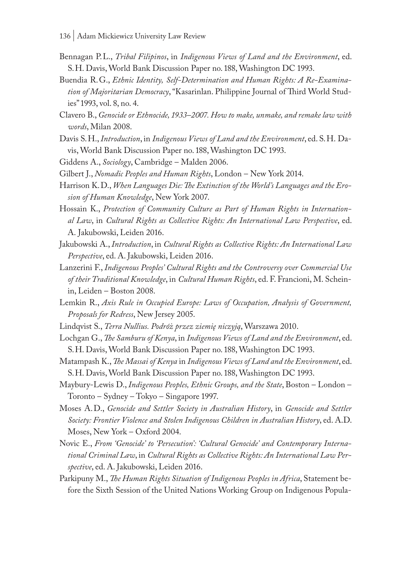- Bennagan P.L., *Tribal Filipinos*, in *Indigenous Views of Land and the Environment*, ed. S.H. Davis, World Bank Discussion Paper no. 188, Washington DC 1993.
- Buendia R.G., *Ethnic Identity, Self-Determination and Human Rights: A Re-Examination of Majoritarian Democracy*, "Kasarinlan. Philippine Journal of Third World Studies" 1993, vol. 8, no. 4.
- Clavero B., *Genocide or Ethnocide, 1933–2007. How to make, unmake, and remake law with words*, Milan 2008.
- Davis S.H., *Introduction*, in *Indigenous Views of Land and the Environment*, ed. S.H. Davis, World Bank Discussion Paper no. 188, Washington DC 1993.
- Giddens A., *Sociology*, Cambridge Malden 2006.
- Gilbert J., *Nomadic Peoples and Human Rights*, London New York 2014.
- Harrison K.D., *When Languages Die: The Extinction of the World's Languages and the Erosion of Human Knowledge*, New York 2007.
- Hossain K., *Protection of Community Culture as Part of Human Rights in International Law*, in *Cultural Rights as Collective Rights: An International Law Perspective*, ed. A. Jakubowski, Leiden 2016.
- Jakubowski A., *Introduction*, in *Cultural Rights as Collective Rights: An International Law Perspective*, ed. A. Jakubowski, Leiden 2016.
- Lanzerini F., *Indigenous Peoples' Cultural Rights and the Controversy over Commercial Use of their Traditional Knowledge*, in *Cultural Human Rights*, ed. F. Francioni, M. Scheinin, Leiden – Boston 2008.
- Lemkin R., *Axis Rule in Occupied Europe: Laws of Occupation, Analysis of Government, Proposals for Redress*, New Jersey 2005.
- Lindqvist S., *Terra Nullius. Podróż przez ziemię niczyją*, Warszawa 2010.
- Lochgan G., *The Samburu of Kenya*, in *Indigenous Views of Land and the Environment*, ed. S.H. Davis, World Bank Discussion Paper no. 188, Washington DC 1993.
- Matampash K., *The Massai of Kenya* in *Indigenous Views of Land and the Environment*, ed. S.H. Davis, World Bank Discussion Paper no. 188, Washington DC 1993.
- Maybury-Lewis D., *Indigenous Peoples, Ethnic Groups, and the State*, Boston London Toronto – Sydney – Tokyo – Singapore 1997.
- Moses A.D., *Genocide and Settler Society in Australian History*, in *Genocide and Settler Society: Frontier Violence and Stolen Indigenous Children in Australian History*, ed. A.D. Moses, New York – Oxford 2004.
- Novic E., *From 'Genocide' to 'Persecution': 'Cultural Genocide' and Contemporary International Criminal Law*, in *Cultural Rights as Collective Rights: An International Law Perspective*, ed. A. Jakubowski, Leiden 2016.
- Parkipuny M., *The Human Rights Situation of Indigenous Peoples in Africa*, Statement before the Sixth Session of the United Nations Working Group on Indigenous Popula-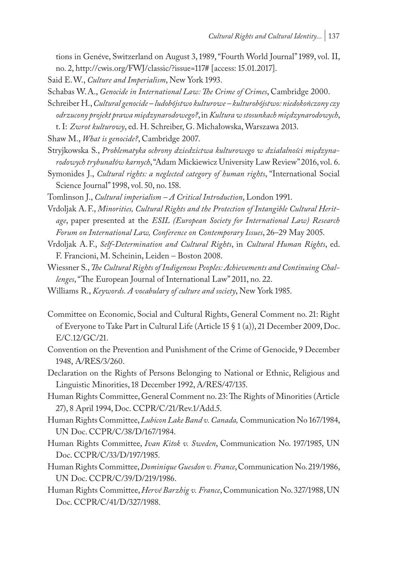tions in Genéve, Switzerland on August 3, 1989, "Fourth World Journal" 1989, vol. II, no. 2, http://cwis.org/FWJ/classic/?issue=117# [access: 15.01.2017].

Said E.W., *Culture and Imperialism*, New York 1993.

Schabas W.A., *Genocide in International Law: The Crime of Crimes*, Cambridge 2000.

Schreiber H., *Cultural genocide – ludobójstwo kulturowe – kulturobójstwo: niedokończony czy odrzucony projekt prawa międzynarodowego?*, in *Kultura w stosunkach międzynarodowych*, t. I: *Zwrot kulturowy*, ed. H. Schreiber, G. Michałowska, Warszawa 2013.

Shaw M., *What is genocide?*, Cambridge 2007.

- Stryjkowska S., *Problematyka ochrony dziedzictwa kulturowego w działalności międzynarodowych trybunałów karnych*, "Adam Mickiewicz University Law Review" 2016, vol. 6.
- Symonides J., *Cultural rights: a neglected category of human rights*, "International Social Science Journal" 1998, vol. 50, no. 158.
- Tomlinson J., *Cultural imperialism A Critical Introduction*, London 1991.
- Vrdoljak A.F., *Minorities, Cultural Rights and the Protection of Intangible Cultural Heritage*, paper presented at the *ESIL (European Society for International Law) Research Forum on International Law, Conference on Contemporary Issues*, 26–29 May 2005.
- Vrdoljak A.F., *Self-Determination and Cultural Rights*, in *Cultural Human Rights*, ed. F. Francioni, M. Scheinin, Leiden – Boston 2008.
- Wiessner S., *The Cultural Rights of Indigenous Peoples: Achievements and Continuing Challenges*, "The European Journal of International Law" 2011, no. 22.
- Williams R., *Keywords. A vocabulary of culture and society*, New York 1985.
- Committee on Economic, Social and Cultural Rights, General Comment no. 21: Right of Everyone to Take Part in Cultural Life (Article 15 § 1 (a)), 21 December 2009, Doc. E/C.12/GC/21.
- Convention on the Prevention and Punishment of the Crime of Genocide, 9 December 1948, A/RES/3/260.
- Declaration on the Rights of Persons Belonging to National or Ethnic, Religious and Linguistic Minorities, 18 December 1992, A/RES/47/135.
- Human Rights Committee, General Comment no. 23: The Rights of Minorities (Article 27), 8 April 1994, Doc. CCPR/C/21/Rev.1/Add.5.
- Human Rights Committee, *Lubicon Lake Band v. Canada,* Communication No 167/1984, UN Doc. CCPR/C/38/D/167/1984.
- Human Rights Committee, *Ivan Kitok v. Sweden*, Communication No. 197/1985, UN Doc. CCPR/C/33/D/197/1985.
- Human Rights Committee, *Dominique Guesdon v. France*, Communication No. 219/1986, UN Doc. CCPR/C/39/D/219/1986.
- Human Rights Committee, *Hervé Barzhig v. France*, Communication No. 327/1988, UN Doc. CCPR/C/41/D/327/1988.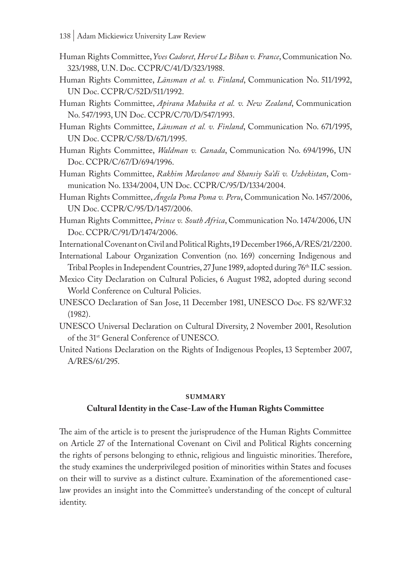- Human Rights Committee, *Yves Cadoret, Hervé Le Bihan v. France*, Communication No. 323/1988, U.N. Doc. CCPR/C/41/D/323/1988.
- Human Rights Committee, *Länsman et al. v. Finland*, Communication No. 511/1992, UN Doc. CCPR/C/52D/511/1992.
- Human Rights Committee, *Apirana Mahuika et al. v. New Zealand*, Communication No. 547/1993, UN Doc. CCPR/C/70/D/547/1993.
- Human Rights Committee, *Länsman et al. v. Finland*, Communication No. 671/1995, UN Doc. CCPR/C/58/D/671/1995.
- Human Rights Committee, *Waldman v. Canada*, Communication No. 694/1996, UN Doc. CCPR/C/67/D/694/1996.
- Human Rights Committee, *Rakhim Mavlanov and Shansiy Sa'di v. Uzbekistan*, Communication No. 1334/2004, UN Doc. CCPR/C/95/D/1334/2004.
- Human Rights Committee, *Ángela Poma Poma v. Peru*, Communication No. 1457/2006, UN Doc. CCPR/C/95/D/1457/2006.
- Human Rights Committee, *Prince v. South Africa*, Communication No. 1474/2006, UN Doc. CCPR/C/91/D/1474/2006.

International Covenant on Civil and Political Rights, 19 December 1966, A/RES/21/2200.

- International Labour Organization Convention (no. 169) concerning Indigenous and Tribal Peoples in Independent Countries, 27 June 1989, adopted during 76<sup>th</sup> ILC session.
- Mexico City Declaration on Cultural Policies, 6 August 1982, adopted during second World Conference on Cultural Policies.
- UNESCO Declaration of San Jose, 11 December 1981, UNESCO Doc. FS 82/WF.32 (1982).
- UNESCO Universal Declaration on Cultural Diversity, 2 November 2001, Resolution of the 31st General Conference of UNESCO.
- United Nations Declaration on the Rights of Indigenous Peoples, 13 September 2007, A/RES/61/295.

#### **summary**

#### **Cultural Identity in the Case-Law of the Human Rights Committee**

The aim of the article is to present the jurisprudence of the Human Rights Committee on Article 27 of the International Covenant on Civil and Political Rights concerning the rights of persons belonging to ethnic, religious and linguistic minorities. Therefore, the study examines the underprivileged position of minorities within States and focuses on their will to survive as a distinct culture. Examination of the aforementioned caselaw provides an insight into the Committee's understanding of the concept of cultural identity.